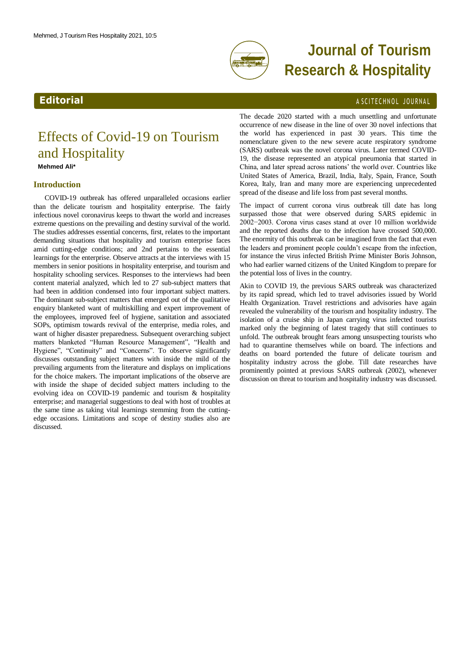

# **Journal of Tourism Research & Hospitality**

## <span id="page-0-0"></span>**Editorial** A SCITECHNOL JOURNAL

## Effects of Covid-19 on Tourism and Hospitality **Mehmed Ali\***

### **Introduction**

COVID-19 outbreak has offered unparalleled occasions earlier than the delicate tourism and hospitality enterprise. The fairly infectious novel coronavirus keeps to thwart the world and increases extreme questions on the prevailing and destiny survival of the world. The studies addresses essential concerns, first, relates to the important demanding situations that hospitality and tourism enterprise faces amid cutting-edge conditions; and 2nd pertains to the essential learnings for the enterprise. Observe attracts at the interviews with 15 members in senior positions in hospitality enterprise, and tourism and hospitality schooling services. Responses to the interviews had been content material analyzed, which led to 27 sub-subject matters that had been in addition condensed into four important subject matters. The dominant sub-subject matters that emerged out of the qualitative enquiry blanketed want of multiskilling and expert improvement of the employees, improved feel of hygiene, sanitation and associated SOPs, optimism towards revival of the enterprise, media roles, and want of higher disaster preparedness. Subsequent overarching subject matters blanketed "Human Resource Management", "Health and Hygiene", "Continuity" and "Concerns". To observe significantly discusses outstanding subject matters with inside the mild of the prevailing arguments from the literature and displays on implications for the choice makers. The important implications of the observe are with inside the shape of decided subject matters including to the evolving idea on COVID-19 pandemic and tourism & hospitality enterprise; and managerial suggestions to deal with host of troubles at the same time as taking vital learnings stemming from the cuttingedge occasions. Limitations and scope of destiny studies also are discussed.

The decade 2020 started with a much unsettling and unfortunate occurrence of new disease in the line of over 30 novel infections that the world has experienced in past 30 years. This time the nomenclature given to the new severe acute respiratory syndrome (SARS) outbreak was the novel corona virus. Later termed COVID-19, the disease represented an atypical pneumonia that started in China, and later spread across nations' the world over. Countries like United States of America, Brazil, India, Italy, Spain, France, South Korea, Italy, Iran and many more are experiencing unprecedented spread of the disease and life loss from past several months.

The impact of current corona virus outbreak till date has long surpassed those that were observed during SARS epidemic in 2002−2003. Corona virus cases stand at over 10 million worldwide and the reported deaths due to the infection have crossed 500,000. The enormity of this outbreak can be imagined from the fact that even the leaders and prominent people couldn't escape from the infection, for instance the virus infected British Prime Minister Boris Johnson, who had earlier warned citizens of the United Kingdom to prepare for the potential loss of lives in the country.

Akin to COVID 19, the previous SARS outbreak was characterized by its rapid spread, which led to travel advisories issued by World Health Organization. Travel restrictions and advisories have again revealed the vulnerability of the tourism and hospitality industry. The isolation of a cruise ship in Japan carrying virus infected tourists marked only the beginning of latest tragedy that still continues to unfold. The outbreak brought fears among unsuspecting tourists who had to quarantine themselves while on board. The infections and deaths on board portended the future of delicate tourism and hospitality industry across the globe. Till date researches have prominently pointed at previous SARS outbreak (2002), whenever discussion on threat to tourism and hospitality industry was discussed.